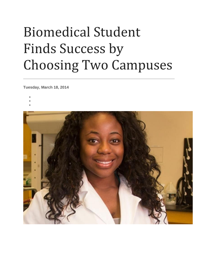## Biomedical Student Finds Success by Choosing Two Campuses

**Tuesday, March 18, 2014**

- •
- •
- •
-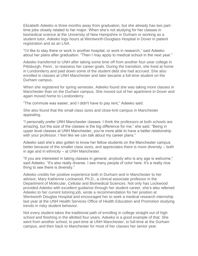Elizabeth Adeeko is three months away from graduation, but she already has two parttime jobs closely related to her major. When she's not studying for her classes in biomedical science at the University of New Hampshire in Durham or working as a student tutor, Adeeko logs hours at Wentworth-Douglass Hospital in Dover in patient registration and as an LNA.

"I'd like to stay there or work in another hospital, or work in research," said Adeeko about her plans after graduation. "Then I may apply to medical school in the next year."

Adeeko transferred to UNH after taking some time off from another four-year college in Pittsburgh, Penn., to reassess her career goals. During the transition, she lived at home in Londonderry and paid down some of the student debt she had accrued. She also enrolled in classes at UNH Manchester and later became a full-time student on the Durham campus.

When she registered for spring semester, Adeeko found she was taking more classes in Manchester than on the Durham campus. She moved out of her apartment in Dover and again moved home to Londonderry.

"The commute was easier, and I didn't have to pay rent," Adeeko said.

She also found that the small class sizes and close-knit campus in Manchester appealing.

"I personally prefer UNH Manchester classes. I think the professors at both schools are amazing, but the size of the classes is the big difference for me," she said. "Being in upper level classes at UNH Manchester, you're more able to have a better relationship with your professor. I feel like we can talk about my career plans."

Adeeko said she's also gotten to know her fellow students on the Manchester campus better because of the smaller class sizes, and appreciates there is more diversity – both in age and in ethnicity – at UNH Manchester.

"If you are interested in taking classes in general, anybody who is any age is welcome," said Adeeko. "It's also really diverse. I see many people of color here. It's a really nice thing to see there is diversity."

Adeeko credits her positive experience both in Durham and in Manchester to her advisor, Mary Katherine Lockwood, Ph.D., a clinical associate professor in the Department of Molecular, Cellular and Biomedical Sciences. Not only has Lockwood provided Adeeko with excellent guidance through her student career, she's also referred Adeeko to her current tutoring job, wrote a recommendation for her position at Wentworth Douglas Hospital and encouraged her to seek a medical research internship last year at the UNH Health Services Office of Health Education and Promotion studying trends in risky student behavior.

Not every student takes the traditional path of enrolling in college straight out of high school and finishing in the allotted four years. Adeeko is a good example of that. She went from another school, to part-time at UNH Manchester, to full-time at the Durham campus, and then back to Manchester for most of her classes her senior year.